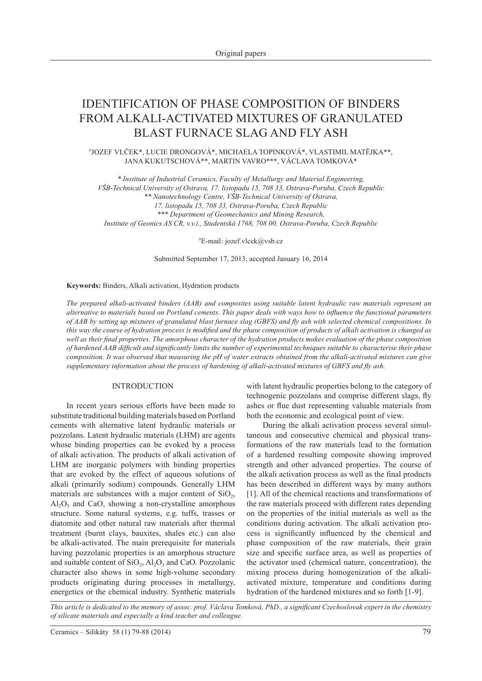# IDENTIFICATION OF PHASE COMPOSITION OF BINDERS FROM ALKALI-ACTIVATED MIXTURES OF GRANULATED BLAST FURNACE SLAG AND FLY ASH

# JOZEF VLČEK\*, LUCIE DRONGOVÁ\*, MICHAELA TOPINKOVÁ\*, VLASTIMIL MATĚJKA\*\*, JANA KUKUTSCHOVÁ\*\*, MARTIN VAVRO\*\*\*, VÁCLAVA TOMKOVÁ\*

*\* Institute of Industrial Ceramics, Faculty of Metallurgy and Material Engineering, VŠB-Technical University of Ostrava, 17. listopadu 15, 708 33, Ostrava-Poruba, Czech Republic \*\* Nanotechnology Centre, VŠB-Technical University of Ostrava, 17. listopadu 15, 708 33, Ostrava-Poruba, Czech Republic \*\*\* Department of Geomechanics and Mining Research, Institute of Geonics AS CR, v.v.i., Studentská 1768, 708 00, Ostrava-Poruba, Czech Republic*

# E-mail: jozef.vlcek@vsb.cz

Submitted September 17, 2013; accepted January 16, 2014

**Keywords:** Binders, Alkali activation, Hydration products

*The prepared alkali-activated binders (AAB) and composites using suitable latent hydraulic raw materials represent an alternative to materials based on Portland cements. This paper deals with ways how to influence the functional parameters of AAB by setting up mixtures of granulated blast furnace slag (GBFS) and fly ash with selected chemical compositions. In this way the course of hydration process is modified and the phase composition of products of alkali activation is changed as well as their final properties. The amorphous character of the hydration products makes evaluation of the phase composition of hardened AAB difficult and significantly limits the number of experimental techniques suitable to characterise their phase composition. It was observed that measuring the pH of water extracts obtained from the alkali-activated mixtures can give supplementary information about the process of hardening of alkali-activated mixtures of GBFS and fly ash.*

# INTRODUCTION

In recent years serious efforts have been made to substitute traditional building materials based on Portland cements with alternative latent hydraulic materials or pozzolans. Latent hydraulic materials (LHM) are agents whose binding properties can be evoked by a process of alkali activation. The products of alkali activation of LHM are inorganic polymers with binding properties that are evoked by the effect of aqueous solutions of alkali (primarily sodium) compounds. Generally LHM materials are substances with a major content of  $SiO<sub>2</sub>$ ,  $Al_2O_3$  and CaO, showing a non-crystalline amorphous structure. Some natural systems, e.g. tuffs, trasses or diatomite and other natural raw materials after thermal treatment (burnt clays, bauxites, shales etc.) can also be alkali-activated. The main prerequisite for materials having pozzolanic properties is an amorphous structure and suitable content of  $SiO<sub>2</sub>$ ,  $Al<sub>2</sub>O<sub>3</sub>$  and CaO. Pozzolanic character also shows in some high-volume secondary products originating during processes in metallurgy, energetics or the chemical industry. Synthetic materials

with latent hydraulic properties belong to the category of technogenic pozzolans and comprise different slags, fly ashes or flue dust representing valuable materials from both the economic and ecological point of view.

During the alkali activation process several simultaneous and consecutive chemical and physical transformations of the raw materials lead to the formation of a hardened resulting composite showing improved strength and other advanced properties. The course of the alkali activation process as well as the final products has been described in different ways by many authors [1]. All of the chemical reactions and transformations of the raw materials proceed with different rates depending on the properties of the initial materials as well as the conditions during activation. The alkali activation process is significantly influenced by the chemical and phase composition of the raw materials, their grain size and specific surface area, as well as properties of the activator used (chemical nature, concentration), the mixing process during homogenization of the alkaliactivated mixture, temperature and conditions during hydration of the hardened mixtures and so forth [1-9].

*This article is dedicated to the memory of assoc. prof. Václava Tomková, PhD., a significant Czechoslovak expert in the chemistry of silicate materials and especially a kind teacher and colleague.*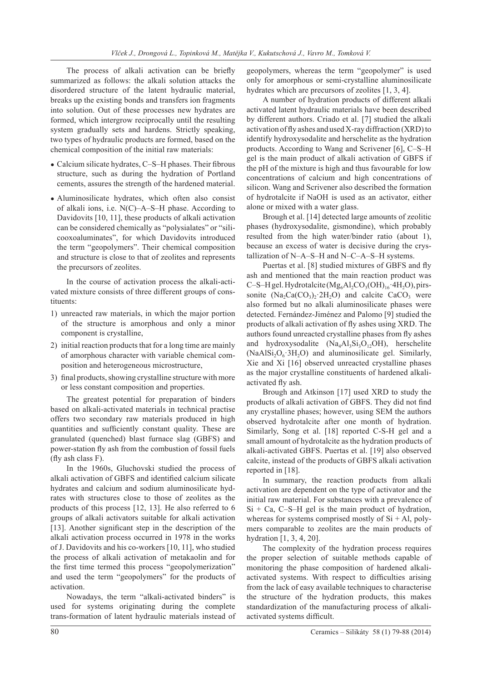The process of alkali activation can be briefly summarized as follows: the alkali solution attacks the disordered structure of the latent hydraulic material, breaks up the existing bonds and transfers ion fragments into solution. Out of these processes new hydrates are formed, which intergrow reciprocally until the resulting system gradually sets and hardens. Strictly speaking, two types of hydraulic products are formed, based on the chemical composition of the initial raw materials:

- Calcium silicate hydrates, C-S-H phases. Their fibrous structure, such as during the hydration of Portland cements, assures the strength of the hardened material.
- Aluminosilicate hydrates, which often also consist of alkali ions, i.e. N(C)–A–S–H phase. According to Davidovits [10, 11], these products of alkali activation can be considered chemically as "polysialates" or "silicooxoaluminates", for which Davidovits introduced the term "geopolymers". Their chemical composition and structure is close to that of zeolites and represents the precursors of zeolites.

In the course of activation process the alkali-activated mixture consists of three different groups of constituents:

- 1) unreacted raw materials, in which the major portion of the structure is amorphous and only a minor component is crystalline,
- 2) initial reaction products that for a long time are mainly of amorphous character with variable chemical composition and heterogeneous microstructure,
- 3) final products, showing crystalline structure with more or less constant composition and properties.

The greatest potential for preparation of binders based on alkali-activated materials in technical practise offers two secondary raw materials produced in high quantities and sufficiently constant quality. These are granulated (quenched) blast furnace slag (GBFS) and power-station fly ash from the combustion of fossil fuels (fly ash class F).

In the 1960s, Gluchovski studied the process of alkali activation of GBFS and identified calcium silicate hydrates and calcium and sodium aluminosilicate hydrates with structures close to those of zeolites as the products of this process [12, 13]. He also referred to 6 groups of alkali activators suitable for alkali activation [13]. Another significant step in the description of the alkali activation process occurred in 1978 in the works of J. Davidovits and his co-workers [10, 11], who studied the process of alkali activation of metakaolin and for the first time termed this process "geopolymerization" and used the term "geopolymers" for the products of activation.

Nowadays, the term "alkali-activated binders" is used for systems originating during the complete trans-formation of latent hydraulic materials instead of

geopolymers, whereas the term "geopolymer" is used only for amorphous or semi-crystalline aluminosilicate hydrates which are precursors of zeolites [1, 3, 4].

A number of hydration products of different alkali activated latent hydraulic materials have been described by different authors. Criado et al. [7] studied the alkali activation of fly ashes and used X-ray diffraction (XRD) to identify hydroxysodalite and herschelite as the hydration products. According to Wang and Scrivener [6], C–S–H gel is the main product of alkali activation of GBFS if the pH of the mixture is high and thus favourable for low concentrations of calcium and high concentrations of silicon. Wang and Scrivener also described the formation of hydrotalcite if NaOH is used as an activator, either alone or mixed with a water glass.

Brough et al. [14] detected large amounts of zeolitic phases (hydroxysodalite, gismondine), which probably resulted from the high water/binder ratio (about 1), because an excess of water is decisive during the crystallization of N–A–S–H and N–C–A–S–H systems.

Puertas et al. [8] studied mixtures of GBFS and fly ash and mentioned that the main reaction product was C–S–H gel. Hydrotalcite  $(Mg_6Al_2CO_3(OH)_{16} \cdot 4H_2O)$ , pirssonite  $(Na_2Ca(CO_3)_2.2H_2O)$  and calcite CaCO<sub>3</sub> were also formed but no alkali aluminosilicate phases were detected. Fernández-Jiménez and Palomo [9] studied the products of alkali activation of fly ashes using XRD. The authors found unreacted crystalline phases from fly ashes and hydroxysodalite  $(Na_4A_3Si_3O_1O/H)$ , herschelite  $(NaAlSi<sub>2</sub>O<sub>6</sub> 3H<sub>2</sub>O)$  and aluminosilicate gel. Similarly, Xie and Xi [16] observed unreacted crystalline phases as the major crystalline constituents of hardened alkaliactivated fly ash.

Brough and Atkinson [17] used XRD to study the products of alkali activation of GBFS. They did not find any crystalline phases; however, using SEM the authors observed hydrotalcite after one month of hydration. Similarly, Song et al. [18] reported C-S-H gel and a small amount of hydrotalcite as the hydration products of alkali-activated GBFS. Puertas et al. [19] also observed calcite, instead of the products of GBFS alkali activation reported in [18].

In summary, the reaction products from alkali activation are dependent on the type of activator and the initial raw material. For substances with a prevalence of  $Si + Ca$ , C–S–H gel is the main product of hydration, whereas for systems comprised mostly of  $Si + Al$ , polymers comparable to zeolites are the main products of hydration [1, 3, 4, 20].

The complexity of the hydration process requires the proper selection of suitable methods capable of monitoring the phase composition of hardened alkaliactivated systems. With respect to difficulties arising from the lack of easy available techniques to characterise the structure of the hydration products, this makes standardization of the manufacturing process of alkaliactivated systems difficult.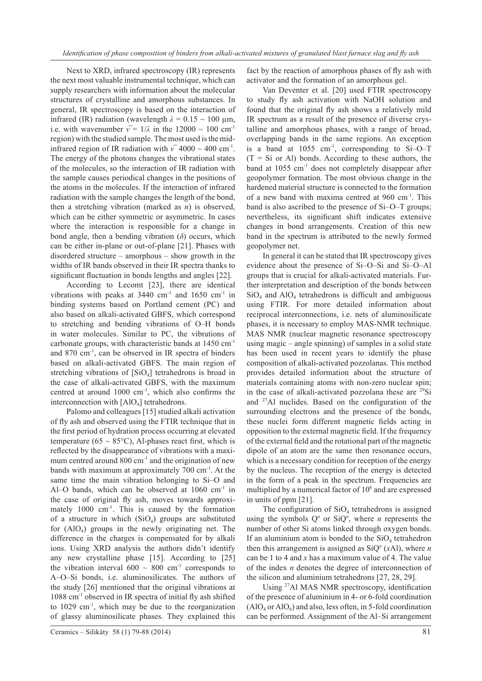Next to XRD, infrared spectroscopy (IR) represents the next most valuable instrumental technique, which can supply researchers with information about the molecular structures of crystalline and amorphous substances. In general, IR spectroscopy is based on the interaction of infrared (IR) radiation (wavelength  $λ = 0.15 ~ 100 \mu m$ , i.e. with wavenumber  $v = 1/\lambda$  in the 12000 ~ 100 cm<sup>-1</sup> region) with the studied sample. The most used is the midinfrared region of IR radiation with  $v<sup>-</sup>$  4000 ~ 400 cm<sup>-1</sup>. The energy of the photons changes the vibrational states of the molecules, so the interaction of IR radiation with the sample causes periodical changes in the positions of the atoms in the molecules. If the interaction of infrared radiation with the sample changes the length of the bond, then a stretching vibration (marked as *n*) is observed, which can be either symmetric or asymmetric. In cases where the interaction is responsible for a change in bond angle, then a bending vibration  $(\delta)$  occurs, which can be either in-plane or out-of-plane [21]. Phases with disordered structure – amorphous – show growth in the widths of IR bands observed in their IR spectra thanks to significant fluctuation in bonds lengths and angles [22].

According to Lecomt [23], there are identical vibrations with peaks at  $3440 \text{ cm}^{-1}$  and  $1650 \text{ cm}^{-1}$  in binding systems based on Portland cement (PC) and also based on alkali-activated GBFS, which correspond to stretching and bending vibrations of O–H bonds in water molecules. Similar to PC, the vibrations of carbonate groups, with characteristic bands at 1450 cm-1 and  $870 \text{ cm}^{-1}$ , can be observed in IR spectra of binders based on alkali-activated GBFS. The main region of stretching vibrations of [SiO<sub>4</sub>] tetrahedrons is broad in the case of alkali-activated GBFS, with the maximum centred at around 1000 cm-1, which also confirms the interconnection with  $[AIO_4]$  tetrahedrons.

Palomo and colleagues [15] studied alkali activation of fly ash and observed using the FTIR technique that in the first period of hydration process occurring at elevated temperature (65  $\sim$  85°C), Al-phases react first, which is reflected by the disappearance of vibrations with a maximum centred around  $800 \text{ cm}^{-1}$  and the origination of new bands with maximum at approximately 700 cm<sup>-1</sup>. At the same time the main vibration belonging to Si–O and Al–O bands, which can be observed at  $1060 \text{ cm}^{-1}$  in the case of original fly ash, moves towards approximately 1000 cm<sup>-1</sup>. This is caused by the formation of a structure in which  $(SiO_4)$  groups are substituted for  $(AIO<sub>4</sub>)$  groups in the newly originating net. The difference in the charges is compensated for by alkali ions. Using XRD analysis the authors didn't identify any new crystalline phase [15]. According to [25] the vibration interval  $600 \sim 800$  cm<sup>-1</sup> corresponds to A–O–Si bonds, i.e. aluminosilicates. The authors of the study [26] mentioned that the original vibrations at 1088 cm-1 observed in IR spectra of initial fly ash shifted to  $1029 \text{ cm}^{-1}$ , which may be due to the reorganization of glassy aluminosilicate phases. They explained this

fact by the reaction of amorphous phases of fly ash with activator and the formation of an amorphous gel.

Van Deventer et al. [20] used FTIR spectroscopy to study fly ash activation with NaOH solution and found that the original fly ash shows a relatively mild IR spectrum as a result of the presence of diverse crystalline and amorphous phases, with a range of broad, overlapping bands in the same regions. An exception is a band at  $1055 \text{ cm}^{-1}$ , corresponding to Si-O-T  $(T = Si \text{ or } Al)$  bonds. According to these authors, the band at 1055 cm<sup>-1</sup> does not completely disappear after geopolymer formation. The most obvious change in the hardened material structure is connected to the formation of a new band with maxima centred at 960 cm-1. This band is also ascribed to the presence of Si–O–T groups; nevertheless, its significant shift indicates extensive changes in bond arrangements. Creation of this new band in the spectrum is attributed to the newly formed geopolymer net.

In general it can be stated that IR spectroscopy gives evidence about the presence of Si–O–Si and Si–O–Al groups that is crucial for alkali-activated materials. Further interpretation and description of the bonds between  $SiO<sub>4</sub>$  and  $AlO<sub>4</sub>$  tetrahedrons is difficult and ambiguous using FTIR. For more detailed information about reciprocal interconnections, i.e. nets of aluminosilicate phases, it is necessary to employ MAS-NMR technique. MAS NMR (nuclear magnetic resonance spectroscopy using magic – angle spinning) of samples in a solid state has been used in recent years to identify the phase composition of alkali-activated pozzolanas. This method provides detailed information about the structure of materials containing atoms with non-zero nuclear spin; in the case of alkali-activated pozzolana these are <sup>29</sup>Si and 27Al nuclides. Based on the configuration of the surrounding electrons and the presence of the bonds, these nuclei form different magnetic fields acting in opposition to the external magnetic field. If the frequency of the external field and the rotational part of the magnetic dipole of an atom are the same then resonance occurs, which is a necessary condition for reception of the energy by the nucleus. The reception of the energy is detected in the form of a peak in the spectrum. Frequencies are multiplied by a numerical factor of  $10<sup>6</sup>$  and are expressed in units of ppm [21].

The configuration of  $SiO<sub>4</sub>$  tetrahedrons is assigned using the symbols  $Q<sup>n</sup>$  or Si $Q<sup>n</sup>$ , where *n* represents the number of other Si atoms linked through oxygen bonds. If an aluminium atom is bonded to the  $SiO<sub>4</sub>$  tetrahedron then this arrangement is assigned as  $SiQ<sup>n</sup>$  (*xAl*), where *n* can be 1 to 4 and *x* has a maximum value of 4. The value of the index *n* denotes the degree of interconnection of the silicon and aluminium tetrahedrons [27, 28, 29].

Using 27Al MAS NMR spectroscopy, identification of the presence of aluminium in 4- or 6-fold coordination  $(AlO<sub>4</sub> or AlO<sub>6</sub>)$  and also, less often, in 5-fold coordination can be performed. Assignment of the Al–Si arrangement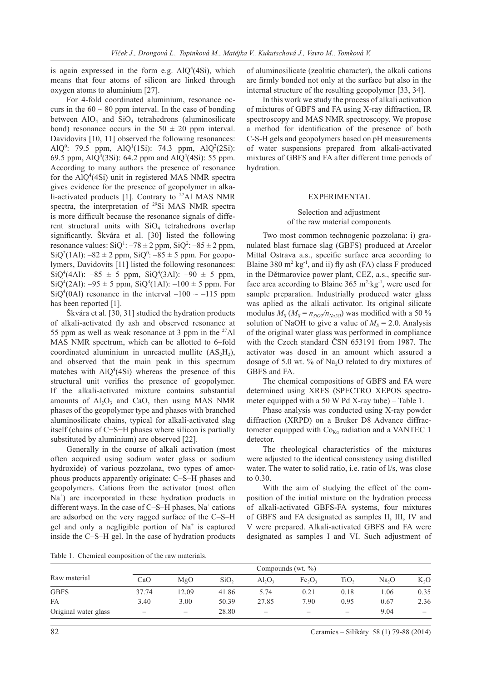is again expressed in the form e.g.  $AlQ^4(4Si)$ , which means that four atoms of silicon are linked through oxygen atoms to aluminium [27].

For 4-fold coordinated aluminium, resonance occurs in the  $60 \sim 80$  ppm interval. In the case of bonding between  $AIO<sub>4</sub>$  and  $SiO<sub>4</sub>$  tetrahedrons (aluminosilicate bond) resonance occurs in the  $50 \pm 20$  ppm interval. Davidovits [10, 11] observed the following resonances: AlQ<sup>0</sup>: 79.5 ppm, AlQ<sup>1</sup>(1Si): 74.3 ppm, AlQ<sup>2</sup>(2Si): 69.5 ppm,  $AlQ^3(3Si)$ : 64.2 ppm and  $AlQ^4(4Si)$ : 55 ppm. According to many authors the presence of resonance for the  $AlQ^4(4Si)$  unit in registered MAS NMR spectra gives evidence for the presence of geopolymer in alkali-activated products [1]. Contrary to  $^{27}$ Al MAS NMR spectra, the interpretation of <sup>29</sup>Si MAS NMR spectra is more difficult because the resonance signals of different structural units with  $SiO<sub>4</sub>$  tetrahedrons overlap significantly. Škvára et al. [30] listed the following resonance values:  $SiQ^1$ :  $-78 \pm 2$  ppm,  $SiQ^2$ :  $-85 \pm 2$  ppm,  $SiQ^{2}(1Al): -82 \pm 2$  ppm,  $SiQ^{0}: -85 \pm 5$  ppm. For geopolymers, Davidovits [11] listed the following resonances:  $SiQ^4(4AI): -85 \pm 5$  ppm,  $SiQ^4(3AI): -90 \pm 5$  ppm,  $SiQ^{4}(2Al): -95 \pm 5$  ppm,  $SiQ^{4}(1Al): -100 \pm 5$  ppm. For  $SiQ<sup>4</sup>(0Al)$  resonance in the interval  $-100 \sim -115$  ppm has been reported [1].

Škvára et al. [30, 31] studied the hydration products of alkali-activated fly ash and observed resonance at 55 ppm as well as weak resonance at 3 ppm in the  $27$ Al MAS NMR spectrum, which can be allotted to 6–fold coordinated aluminium in unreacted mullite  $(AS<sub>2</sub>H<sub>2</sub>)$ , and observed that the main peak in this spectrum matches with  $AlQ^4(4Si)$  whereas the presence of this structural unit verifies the presence of geopolymer. If the alkali-activated mixture contains substantial amounts of  $Al_2O_3$  and CaO, then using MAS NMR phases of the geopolymer type and phases with branched aluminosilicate chains, typical for alkali-activated slag itself (chains of C−S−H phases where silicon is partially substituted by aluminium) are observed [22].

Generally in the course of alkali activation (most often acquired using sodium water glass or sodium hydroxide) of various pozzolana, two types of amorphous products apparently originate: C–S–H phases and geopolymers. Cations from the activator (most often Na<sup>+</sup>) are incorporated in these hydration products in different ways. In the case of C-S-H phases,  $Na<sup>+</sup>$  cations are adsorbed on the very ragged surface of the C–S–H gel and only a negligible portion of Na<sup>+</sup> is captured inside the C–S–H gel. In the case of hydration products

of aluminosilicate (zeolitic character), the alkali cations are firmly bonded not only at the surface but also in the internal structure of the resulting geopolymer [33, 34].

In this work we study the process of alkali activation of mixtures of GBFS and FA using X-ray diffraction, IR spectroscopy and MAS NMR spectroscopy. We propose a method for identification of the presence of both C-S-H gels and geopolymers based on pH measurements of water suspensions prepared from alkali-activated mixtures of GBFS and FA after different time periods of hydration.

#### EXPERIMENTAL

# Selection and adjustment of the raw material components

Two most common technogenic pozzolana: i) granulated blast furnace slag (GBFS) produced at Arcelor Mittal Ostrava a.s., specific surface area according to Blaine 380 m<sup>2</sup> kg<sup>-1</sup>, and ii) fly ash (FA) class F produced in the Dětmarovice power plant, CEZ, a.s., specific surface area according to Blaine  $365 \text{ m}^2 \cdot \text{kg}^{-1}$ , were used for sample preparation. Industrially produced water glass was aplied as the alkali activator. Its original silicate modulus  $M_S (M_S = n_{SiO2}/n_{Na2O})$  was modified with a 50 % solution of NaOH to give a value of  $M_s = 2.0$ . Analysis of the original water glass was performed in compliance with the Czech standard ČSN 653191 from 1987. The activator was dosed in an amount which assured a dosage of 5.0 wt. % of  $Na<sub>2</sub>O$  related to dry mixtures of GBFS and FA.

The chemical compositions of GBFS and FA were determined using XRFS (SPECTRO XEPOS spectrometer equipped with a 50 W Pd X-ray tube) – Table 1.

Phase analysis was conducted using X-ray powder diffraction (XRPD) on a Bruker D8 Advance diffractometer equipped with  $Co<sub>K\alpha</sub>$  radiation and a VANTEC 1 detector.

The rheological characteristics of the mixtures were adjusted to the identical consistency using distilled water. The water to solid ratio, i.e. ratio of l/s, was close to 0.30.

With the aim of studying the effect of the composition of the initial mixture on the hydration process of alkali-activated GBFS-FA systems, four mixtures of GBFS and FA designated as samples II, III, IV and V were prepared. Alkali-activated GBFS and FA were designated as samples I and VI. Such adjustment of

Table 1. Chemical composition of the raw materials.

|                      | Compounds (wt. $\%$ )    |                          |                  |           |                                |                  |                   |        |
|----------------------|--------------------------|--------------------------|------------------|-----------|--------------------------------|------------------|-------------------|--------|
| Raw material         | CaO                      | MgO                      | SiO <sub>2</sub> | $Al_2O_2$ | Fe <sub>2</sub> O <sub>3</sub> | TiO <sub>2</sub> | Na <sub>2</sub> O | $K_2O$ |
| <b>GBFS</b>          | 37.74                    | 12.09                    | 41.86            | 5.74      | 0.21                           | 0.18             | .06               | 0.35   |
| <b>FA</b>            | 3.40                     | 3.00                     | 50.39            | 27.85     | 7.90                           | 0.95             | 0.67              | 2.36   |
| Original water glass | $\overline{\phantom{0}}$ | $\overline{\phantom{0}}$ | 28.80            | –         |                                | -                | 9.04              |        |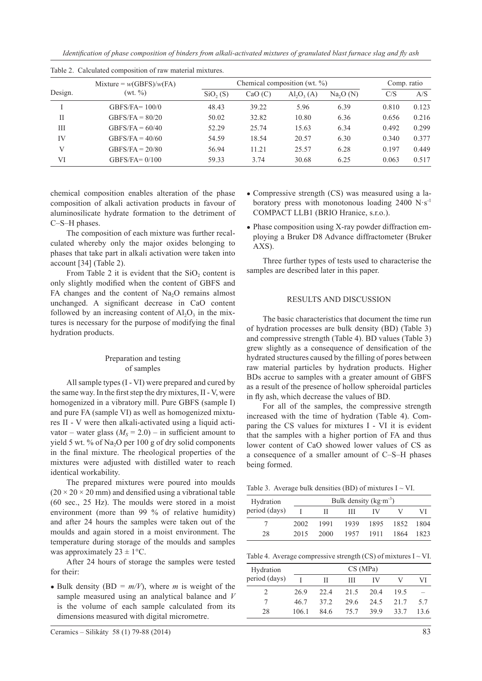*Identification of phase composition of binders from alkali-activated mixtures of granulated blast furnace slag and fly ash*

| Design. | Mixture = $w(GBFS)/w(FA)$ | Chemical composition (wt. $\%$ ) | Comp. ratio |                                |                      |       |       |
|---------|---------------------------|----------------------------------|-------------|--------------------------------|----------------------|-------|-------|
|         | (wt. % )                  | SiO <sub>2</sub> (S)             | CaO(C)      | $\mathrm{Al}_2\mathrm{O}_3(A)$ | Na <sub>2</sub> O(N) | C/S   | A/S   |
|         | GBFS/FA= $100/0$          | 48.43                            | 39.22       | 5.96                           | 6.39                 | 0.810 | 0.123 |
| П       | $GBFS/FA = 80/20$         | 50.02                            | 32.82       | 10.80                          | 6.36                 | 0.656 | 0.216 |
| Ш       | GBFS/FA = $60/40$         | 52.29                            | 25.74       | 15.63                          | 6.34                 | 0.492 | 0.299 |
| IV      | GBFS/FA = $40/60$         | 54.59                            | 18.54       | 20.57                          | 6.30                 | 0.340 | 0.377 |
| V       | GBFS/FA = $20/80$         | 56.94                            | 11.21       | 25.57                          | 6.28                 | 0.197 | 0.449 |
| VI      | GBFS/FA= $0/100$          | 59.33                            | 3.74        | 30.68                          | 6.25                 | 0.063 | 0.517 |

Table 2. Calculated composition of raw material mixtures.

chemical composition enables alteration of the phase composition of alkali activation products in favour of aluminosilicate hydrate formation to the detriment of C–S–H phases.

The composition of each mixture was further recalculated whereby only the major oxides belonging to phases that take part in alkali activation were taken into account [34] (Table 2).

From Table 2 it is evident that the  $SiO<sub>2</sub>$  content is only slightly modified when the content of GBFS and FA changes and the content of  $Na<sub>2</sub>O$  remains almost unchanged. A significant decrease in CaO content followed by an increasing content of  $Al_2O_3$  in the mixtures is necessary for the purpose of modifying the final hydration products.

# Preparation and testing of samples

All sample types (I - VI) were prepared and cured by the same way. In the first step the dry mixtures, II - V, were homogenized in a vibratory mill. Pure GBFS (sample I) and pure FA (sample VI) as well as homogenized mixtures II - V were then alkali-activated using a liquid activator – water glass  $(M<sub>s</sub> = 2.0)$  – in sufficient amount to yield 5 wt. % of Na<sub>2</sub>O per 100 g of dry solid components in the final mixture. The rheological properties of the mixtures were adjusted with distilled water to reach identical workability.

The prepared mixtures were poured into moulds  $(20 \times 20 \times 20 \text{ mm})$  and densified using a vibrational table (60 sec., 25 Hz). The moulds were stored in a moist environment (more than 99 % of relative humidity) and after 24 hours the samples were taken out of the moulds and again stored in a moist environment. The temperature during storage of the moulds and samples was approximately  $23 \pm 1$ °C.

After 24 hours of storage the samples were tested for their:

• Bulk density (BD =  $m/V$ ), where *m* is weight of the sample measured using an analytical balance and *V* is the volume of each sample calculated from its dimensions measured with digital micrometre.

- Compressive strength (CS) was measured using a laboratory press with monotonous loading  $2400 \text{ N} \cdot \text{s}^{-1}$ COMPACT LLB1 (BRIO Hranice, s.r.o.).
- Phase composition using X-ray powder diffraction employing a Bruker D8 Advance diffractometer (Bruker AXS).

Three further types of tests used to characterise the samples are described later in this paper.

# RESULTS AND DISCUSSION

The basic characteristics that document the time run of hydration processes are bulk density (BD) (Table 3) and compressive strength (Table 4). BD values (Table 3) grew slightly as a consequence of densification of the hydrated structures caused by the filling of pores between raw material particles by hydration products. Higher BDs accrue to samples with a greater amount of GBFS as a result of the presence of hollow spheroidal particles in fly ash, which decrease the values of BD.

For all of the samples, the compressive strength increased with the time of hydration (Table 4). Comparing the CS values for mixtures I - VI it is evident that the samples with a higher portion of FA and thus lower content of CaO showed lower values of CS as a consequence of a smaller amount of C–S–H phases being formed.

Table 3. Average bulk densities (BD) of mixtures  $I \sim VI$ .

| Hydration     | Bulk density $(kg·m-3)$ |      |      |      |      |      |
|---------------|-------------------------|------|------|------|------|------|
| period (days) |                         |      | Ш    | IV   |      | VI   |
|               | 2002                    | 1991 | 1939 | 1895 | 1852 | 1804 |
| 28            | 2015                    | 2000 | 1957 | 1911 | 1864 | 1823 |

Table 4. Average compressive strength (CS) of mixtures  $I \sim VI$ .

| Hydration     |      | CS(MPa) |      |      |      |      |  |  |
|---------------|------|---------|------|------|------|------|--|--|
| period (days) |      | н       | Ш    | IV   |      | VI   |  |  |
|               | 269  | 22.4    | 21.5 | 20.4 | 19.5 |      |  |  |
|               | 46.7 | 372     | 29.6 | 24.5 | 21.7 | 5.7  |  |  |
| 28            | 1061 | 84.6    | 75.7 | 39.9 | 33.7 | 13.6 |  |  |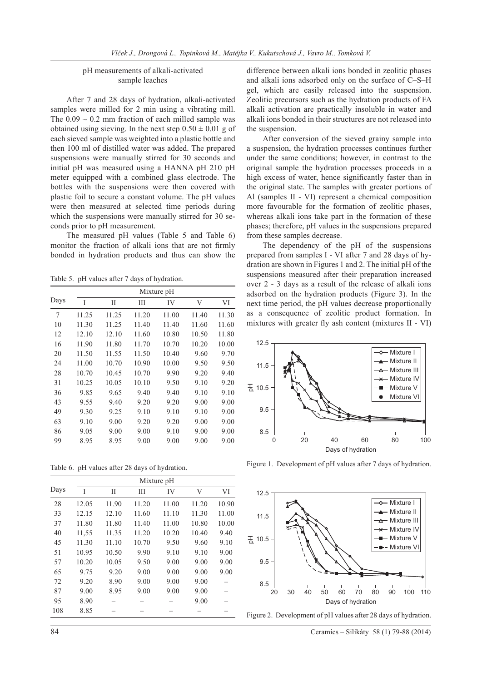# pH measurements of alkali-activated sample leaches

After 7 and 28 days of hydration, alkali-activated samples were milled for 2 min using a vibrating mill. The  $0.09 \sim 0.2$  mm fraction of each milled sample was obtained using sieving. In the next step  $0.50 \pm 0.01$  g of each sieved sample was weighted into a plastic bottle and then 100 ml of distilled water was added. The prepared suspensions were manually stirred for 30 seconds and initial pH was measured using a HANNA pH 210 pH meter equipped with a combined glass electrode. The bottles with the suspensions were then covered with plastic foil to secure a constant volume. The pH values were then measured at selected time periods during which the suspensions were manually stirred for 30 seconds prior to pH measurement.

The measured pH values (Table 5 and Table 6) monitor the fraction of alkali ions that are not firmly bonded in hydration products and thus can show the

Table 5. pH values after 7 days of hydration.

|      | Mixture pH |       |       |       |       |       |
|------|------------|-------|-------|-------|-------|-------|
| Days | I          | П     | Ш     | IV    | V     | VI    |
| 7    | 11.25      | 11.25 | 11.20 | 11.00 | 11.40 | 11.30 |
| 10   | 11.30      | 11.25 | 11.40 | 11.40 | 11.60 | 11.60 |
| 12   | 12.10      | 12.10 | 11.60 | 10.80 | 10.50 | 11.80 |
| 16   | 11.90      | 11.80 | 11.70 | 10.70 | 10.20 | 10.00 |
| 20   | 11.50      | 11.55 | 11.50 | 10.40 | 9.60  | 9.70  |
| 24   | 11.00      | 10.70 | 10.90 | 10.00 | 9.50  | 9.50  |
| 28   | 10.70      | 10.45 | 10.70 | 9.90  | 9.20  | 9.40  |
| 31   | 10.25      | 10.05 | 10.10 | 9.50  | 9.10  | 9.20  |
| 36   | 9.85       | 9.65  | 9.40  | 9.40  | 9.10  | 9.10  |
| 43   | 9.55       | 9.40  | 9.20  | 9.20  | 9.00  | 9.00  |
| 49   | 9.30       | 9.25  | 9.10  | 9.10  | 9.10  | 9.00  |
| 63   | 9.10       | 9.00  | 9.20  | 9.20  | 9.00  | 9.00  |
| 86   | 9.05       | 9.00  | 9.00  | 9.10  | 9.00  | 9.00  |
| 99   | 8.95       | 8.95  | 9.00  | 9.00  | 9.00  | 9.00  |

Table 6. pH values after 28 days of hydration.

|      |       |       |       | Mixture pH |       |       |
|------|-------|-------|-------|------------|-------|-------|
| Days | I     | П     | Ш     | IV         | V     | VI    |
| 28   | 12.05 | 11.90 | 11.20 | 11.00      | 11.20 | 10.90 |
| 33   | 12.15 | 12.10 | 11.60 | 11.10      | 11.30 | 11.00 |
| 37   | 11.80 | 11.80 | 11.40 | 11.00      | 10.80 | 10.00 |
| 40   | 11,55 | 11.35 | 11.20 | 10.20      | 10.40 | 9.40  |
| 45   | 11.30 | 11.10 | 10.70 | 9.50       | 9.60  | 9.10  |
| 51   | 10.95 | 10.50 | 9.90  | 9.10       | 9.10  | 9.00  |
| 57   | 10.20 | 10.05 | 9.50  | 9.00       | 9.00  | 9.00  |
| 65   | 9.75  | 9.20  | 9.00  | 9.00       | 9.00  | 9.00  |
| 72   | 9.20  | 8.90  | 9.00  | 9.00       | 9.00  |       |
| 87   | 9.00  | 8.95  | 9.00  | 9.00       | 9.00  |       |
| 95   | 8.90  |       |       |            | 9.00  |       |
| 108  | 8.85  |       |       |            |       |       |

difference between alkali ions bonded in zeolitic phases and alkali ions adsorbed only on the surface of C–S–H gel, which are easily released into the suspension. Zeolitic precursors such as the hydration products of FA alkali activation are practically insoluble in water and alkali ions bonded in their structures are not released into the suspension.

After conversion of the sieved grainy sample into a suspension, the hydration processes continues further under the same conditions; however, in contrast to the original sample the hydration processes proceeds in a high excess of water, hence significantly faster than in the original state. The samples with greater portions of Al (samples II - VI) represent a chemical composition more favourable for the formation of zeolitic phases, whereas alkali ions take part in the formation of these phases; therefore, pH values in the suspensions prepared from these samples decrease.

The dependency of the pH of the suspensions prepared from samples I - VI after 7 and 28 days of hydration are shown in Figures 1 and 2. The initial pH of the suspensions measured after their preparation increased over 2 - 3 days as a result of the release of alkali ions adsorbed on the hydration products (Figure 3). In the next time period, the pH values decrease proportionally as a consequence of zeolitic product formation. In mixtures with greater fly ash content (mixtures II - VI)



Figure 1. Development of pH values after 7 days of hydration.



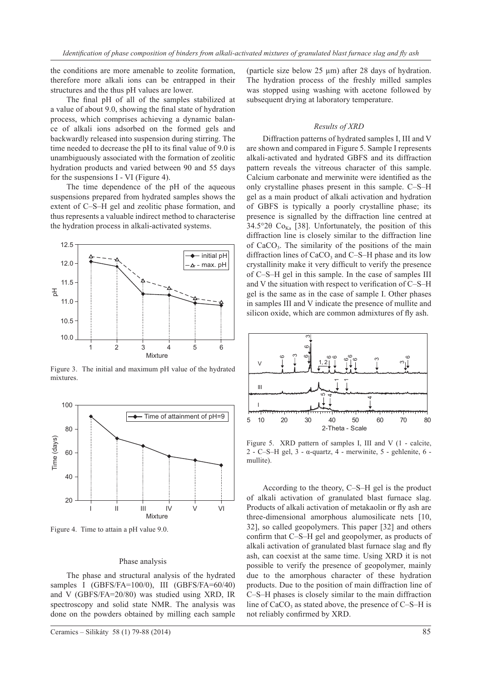the conditions are more amenable to zeolite formation, therefore more alkali ions can be entrapped in their structures and the thus pH values are lower.

The final pH of all of the samples stabilized at a value of about 9.0, showing the final state of hydration process, which comprises achieving a dynamic balance of alkali ions adsorbed on the formed gels and backwardly released into suspension during stirring. The time needed to decrease the pH to its final value of 9.0 is unambiguously associated with the formation of zeolitic hydration products and varied between 90 and 55 days for the suspensions I - VI (Figure 4).

The time dependence of the pH of the aqueous suspensions prepared from hydrated samples shows the extent of C–S–H gel and zeolitic phase formation, and thus represents a valuable indirect method to characterise the hydration process in alkali-activated systems.



Figure 3. The initial and maximum pH value of the hydrated mixtures.



Figure 4. Time to attain a pH value 9.0.

#### Phase analysis

The phase and structural analysis of the hydrated samples I (GBFS/FA=100/0), III (GBFS/FA=60/40) and V (GBFS/FA=20/80) was studied using XRD, IR spectroscopy and solid state NMR. The analysis was done on the powders obtained by milling each sample

(particle size below 25 µm) after 28 days of hydration. The hydration process of the freshly milled samples was stopped using washing with acetone followed by subsequent drying at laboratory temperature.

#### *Results of XRD*

Diffraction patterns of hydrated samples I, III and V are shown and compared in Figure 5. Sample I represents alkali-activated and hydrated GBFS and its diffraction pattern reveals the vitreous character of this sample. Calcium carbonate and merwinite were identified as the only crystalline phases present in this sample. C–S–H gel as a main product of alkali activation and hydration of GBFS is typically a poorly crystalline phase; its presence is signalled by the diffraction line centred at 34.5°2 $\theta$  Co<sub>Ka</sub> [38]. Unfortunately, the position of this diffraction line is closely similar to the diffraction line of  $CaCO<sub>3</sub>$ . The similarity of the positions of the main diffraction lines of  $CaCO<sub>3</sub>$  and C–S–H phase and its low crystallinity make it very difficult to verify the presence of C–S–H gel in this sample. In the case of samples III and V the situation with respect to verification of C–S–H gel is the same as in the case of sample I. Other phases in samples III and V indicate the presence of mullite and silicon oxide, which are common admixtures of fly ash.



Figure 5. XRD pattern of samples I, III and V (1 - calcite, 2 - C–S–H gel,  $3$  -  $\alpha$ -quartz,  $4$  - merwinite,  $5$  - gehlenite,  $6$  mullite).

According to the theory, C–S–H gel is the product of alkali activation of granulated blast furnace slag. Products of alkali activation of metakaolin or fly ash are three-dimensional amorphous alumosilicate nets [10, 32], so called geopolymers. This paper [32] and others confirm that C–S–H gel and geopolymer, as products of alkali activation of granulated blast furnace slag and fly ash, can coexist at the same time. Using XRD it is not possible to verify the presence of geopolymer, mainly due to the amorphous character of these hydration products. Due to the position of main diffraction line of C–S–H phases is closely similar to the main diffraction line of  $CaCO<sub>3</sub>$  as stated above, the presence of C–S–H is not reliably confirmed by XRD.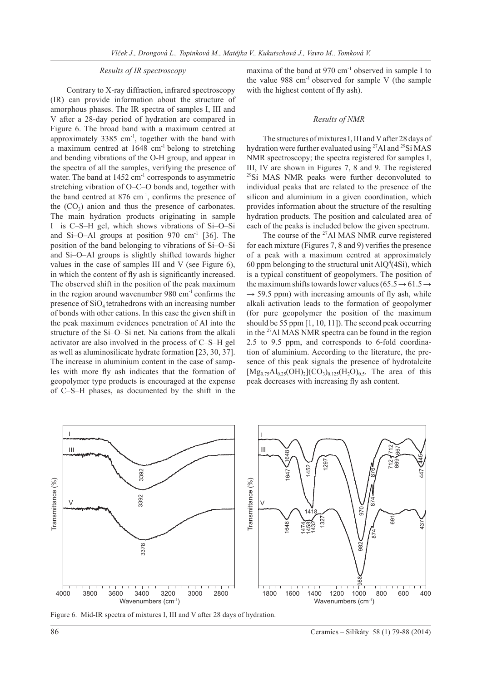# *Results of IR spectroscopy*

Contrary to X-ray diffraction, infrared spectroscopy (IR) can provide information about the structure of amorphous phases. The IR spectra of samples I, III and V after a 28-day period of hydration are compared in Figure 6. The broad band with a maximum centred at approximately  $3385 \text{ cm}^{-1}$ , together with the band with a maximum centred at 1648 cm-1 belong to stretching and bending vibrations of the O-H group, and appear in the spectra of all the samples, verifying the presence of water. The band at  $1452 \text{ cm}^{-1}$  corresponds to asymmetric stretching vibration of O–C–O bonds and, together with the band centred at  $876 \text{ cm}^{-1}$ , confirms the presence of the  $(CO_3)$  anion and thus the presence of carbonates. The main hydration products originating in sample I is C–S–H gel, which shows vibrations of Si–O–Si and Si–O–Al groups at position  $970 \text{ cm}^{-1}$  [36]. The position of the band belonging to vibrations of Si–O–Si and Si–O–Al groups is slightly shifted towards higher values in the case of samples III and V (see Figure 6), in which the content of fly ash is significantly increased. The observed shift in the position of the peak maximum in the region around wavenumber  $980 \text{ cm}^{-1}$  confirms the presence of  $SiO<sub>4</sub>$  tetrahedrons with an increasing number of bonds with other cations. In this case the given shift in the peak maximum evidences penetration of Al into the structure of the Si–O–Si net. Na cations from the alkali activator are also involved in the process of C–S–H gel as well as aluminosilicate hydrate formation [23, 30, 37]. The increase in aluminium content in the case of samples with more fly ash indicates that the formation of geopolymer type products is encouraged at the expense of C–S–H phases, as documented by the shift in the maxima of the band at 970 cm<sup>-1</sup> observed in sample I to the value  $988 \text{ cm}^{-1}$  observed for sample V (the sample with the highest content of fly ash).

#### *Results of NMR*

The structures of mixtures I, III and V after 28 days of hydration were further evaluated using 27Al and 29Si MAS NMR spectroscopy; the spectra registered for samples I, III, IV are shown in Figures 7, 8 and 9. The registered <sup>29</sup>Si MAS NMR peaks were further deconvoluted to individual peaks that are related to the presence of the silicon and aluminium in a given coordination, which provides information about the structure of the resulting hydration products. The position and calculated area of each of the peaks is included below the given spectrum.

The course of the <sup>27</sup>Al MAS NMR curve registered for each mixture (Figures 7, 8 and 9) verifies the presence of a peak with a maximum centred at approximately 60 ppm belonging to the structural unit  $AlQ^4(4Si)$ , which is a typical constituent of geopolymers. The position of the maximum shifts towards lower values (65.5  $\rightarrow$  61.5  $\rightarrow$  $\rightarrow$  59.5 ppm) with increasing amounts of fly ash, while alkali activation leads to the formation of geopolymer (for pure geopolymer the position of the maximum should be 55 ppm [1, 10, 11]). The second peak occurring in the  $27$ Al MAS NMR spectra can be found in the region 2.5 to 9.5 ppm, and corresponds to 6-fold coordination of aluminium. According to the literature, the presence of this peak signals the presence of hydrotalcite  $[Mg_{0.75}Al_{0.25}(OH)_2](CO_3)_{0.125}(H_2O)_{0.5}$ . The area of this peak decreases with increasing fly ash content.



Figure 6. Mid-IR spectra of mixtures I, III and V after 28 days of hydration.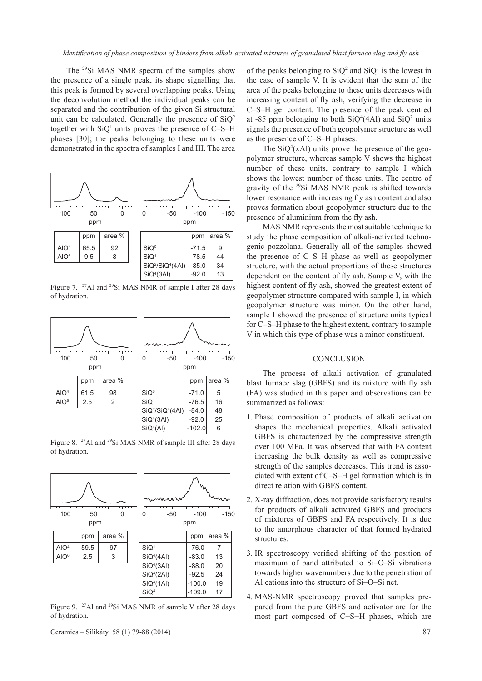The <sup>29</sup>Si MAS NMR spectra of the samples show the presence of a single peak, its shape signalling that this peak is formed by several overlapping peaks. Using the deconvolution method the individual peaks can be separated and the contribution of the given Si structural unit can be calculated. Generally the presence of  $SiQ<sup>2</sup>$ together with  $SiQ<sup>1</sup>$  units proves the presence of C–S–H phases [30]; the peaks belonging to these units were demonstrated in the spectra of samples I and III. The area



Figure 7. <sup>27</sup>Al and <sup>29</sup>Si MAS NMR of sample I after 28 days of hydration.



Figure 8. 27Al and 29Si MAS NMR of sample III after 28 days of hydration.



Figure 9. <sup>27</sup>Al and <sup>29</sup>Si MAS NMR of sample V after 28 days of hydration.

Ceramics – Silikáty 58 (1) 79-88 (2014) 87

of the peaks belonging to  $SiQ^2$  and  $SiQ^1$  is the lowest in the case of sample V. It is evident that the sum of the area of the peaks belonging to these units decreases with increasing content of fly ash, verifying the decrease in C–S–H gel content. The presence of the peak centred at -85 ppm belonging to both  $SiQ^4(4Al)$  and  $SiQ^2$  units signals the presence of both geopolymer structure as well as the presence of C–S–H phases.

The  $SiQ<sup>4</sup>(xAI)$  units prove the presence of the geopolymer structure, whereas sample V shows the highest number of these units, contrary to sample I which shows the lowest number of these units. The centre of gravity of the 29Si MAS NMR peak is shifted towards lower resonance with increasing fly ash content and also proves formation about geopolymer structure due to the presence of aluminium from the fly ash.

MAS NMR represents the most suitable technique to study the phase composition of alkali-activated technogenic pozzolana. Generally all of the samples showed the presence of C–S–H phase as well as geopolymer structure, with the actual proportions of these structures dependent on the content of fly ash. Sample V, with the highest content of fly ash, showed the greatest extent of geopolymer structure compared with sample I, in which geopolymer structure was minor. On the other hand, sample I showed the presence of structure units typical for C–S–H phase to the highest extent, contrary to sample V in which this type of phase was a minor constituent.

# **CONCLUSION**

The process of alkali activation of granulated blast furnace slag (GBFS) and its mixture with fly ash (FA) was studied in this paper and observations can be summarized as follows:

- 1. Phase composition of products of alkali activation shapes the mechanical properties. Alkali activated GBFS is characterized by the compressive strength over 100 MPa. It was observed that with FA content increasing the bulk density as well as compressive strength of the samples decreases. This trend is associated with extent of C–S–H gel formation which is in direct relation with GBFS content.
- 2. X-ray diffraction, does not provide satisfactory results for products of alkali activated GBFS and products of mixtures of GBFS and FA respectively. It is due to the amorphous character of that formed hydrated structures.
- 3. IR spectroscopy verified shifting of the position of maximum of band attributed to Si–O–Si vibrations towards higher wavenumbers due to the penetration of Al cations into the structure of Si–O–Si net.
- 4. MAS-NMR spectroscopy proved that samples prepared from the pure GBFS and activator are for the most part composed of C−S−H phases, which are